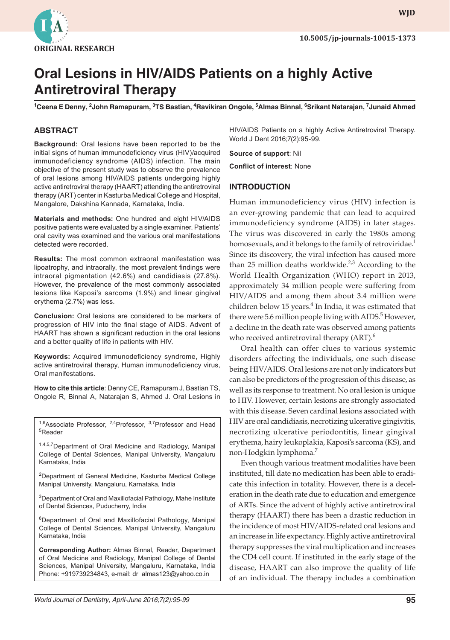

# **Oral Lesions in HIV/AIDS Patients on a highly Active Antiretroviral Therapy**

<sup>1</sup>Ceena E Denny, <sup>2</sup>John Ramapuram, <sup>3</sup>TS Bastian, <sup>4</sup>Ravikiran Ongole, <sup>5</sup>Almas Binnal, <sup>6</sup>Srikant Natarajan, <sup>7</sup>Junaid Ahmed

# **ABSTRACT**

**Background:** Oral lesions have been reported to be the initial signs of human immunodeficiency virus (HIV)/acquired immunodeficiency syndrome (AIDS) infection. The main objective of the present study was to observe the prevalence of oral lesions among HIV/AIDS patients undergoing highly active antiretroviral therapy (HAART) attending the antiretroviral therapy (ART) center in Kasturba Medical College and Hospital, Mangalore, Dakshina Kannada, Karnataka, India.

**Materials and methods:** One hundred and eight HIV/AIDS positive patients were evaluated by a single examiner. Patients' oral cavity was examined and the various oral manifestations detected were recorded.

**Results:** The most common extraoral manifestation was lipoatrophy, and intraorally, the most prevalent findings were intraoral pigmentation (42.6%) and candidiasis (27.8%). However, the prevalence of the most commonly associated lesions like Kaposi's sarcoma (1.9%) and linear gingival erythema (2.7%) was less.

**Conclusion:** Oral lesions are considered to be markers of progression of HIV into the final stage of AIDS. Advent of HAART has shown a significant reduction in the oral lesions and a better quality of life in patients with HIV.

**Keywords:** Acquired immunodeficiency syndrome, Highly active antiretroviral therapy, Human immunodeficiency virus, Oral manifestations.

**How to cite this article**: Denny CE, Ramapuram J, Bastian TS, Ongole R, Binnal A, Natarajan S, Ahmed J. Oral Lesions in

<sup>1,6</sup>Associate Professor, <sup>2,4</sup>Professor, <sup>3,7</sup>Professor and Head 5 Reader

1,4,5,7 Department of Oral Medicine and Radiology, Manipal College of Dental Sciences, Manipal University, Mangaluru Karnataka, India

<sup>2</sup>Department of General Medicine, Kasturba Medical College Manipal University, Mangaluru, Karnataka, India

<sup>3</sup>Department of Oral and Maxillofacial Pathology, Mahe Institute of Dental Sciences, Puducherry, India

<sup>6</sup>Department of Oral and Maxillofacial Pathology, Manipal College of Dental Sciences, Manipal University, Mangaluru Karnataka, India

**Corresponding Author:** Almas Binnal, Reader, Department of Oral Medicine and Radiology, Manipal College of Dental Sciences, Manipal University, Mangaluru, Karnataka, India Phone: +919739234843, e-mail: dr\_almas123@yahoo.co.in

HIV/AIDS Patients on a highly Active Antiretroviral Therapy. World J Dent 2016;7(2):95-99.

#### **Source of support**: Nil

**Conflict of interest**: None

### **INTRODUCTION**

Human immunodeficiency virus (HIV) infection is an ever-growing pandemic that can lead to acquired immunodeficiency syndrome (AIDS) in later stages. The virus was discovered in early the 1980s among homosexuals, and it belongs to the family of retroviridae.<sup>1</sup> Since its discovery, the viral infection has caused more than 25 million deaths worldwide. $2,3$  According to the World Health Organization (WHO) report in 2013, approximately 34 million people were suffering from HIV/AIDS and among them about 3.4 million were children below 15 years. $4$  In India, it was estimated that there were 5.6 million people living with AIDS.<sup>5</sup> However, a decline in the death rate was observed among patients who received antiretroviral therapy  $(ART)$ .<sup>6</sup>

Oral health can offer clues to various systemic disorders affecting the individuals, one such disease being HIV/AIDS. Oral lesions are not only indicators but can also be predictors of the progression of this disease, as well as its response to treatment. No oral lesion is unique to HIV. However, certain lesions are strongly associated with this disease. Seven cardinal lesions associated with HIV are oral candidiasis, necrotizing ulcerative gingivitis, necrotizing ulcerative periodontitis, linear gingival erythema, hairy leukoplakia, Kaposi's sarcoma (KS), and non-Hodgkin lymphoma.<sup>7</sup>

Even though various treatment modalities have been instituted, till date no medication has been able to eradicate this infection in totality. However, there is a deceleration in the death rate due to education and emergence of ARTs. Since the advent of highly active antiretroviral therapy (HAART) there has been a drastic reduction in the incidence of most HIV/AIDS-related oral lesions and an increase in life expectancy. Highly active antiretroviral therapy suppresses the viral multiplication and increases the CD4 cell count. If instituted in the early stage of the disease, HAART can also improve the quality of life of an individual. The therapy includes a combination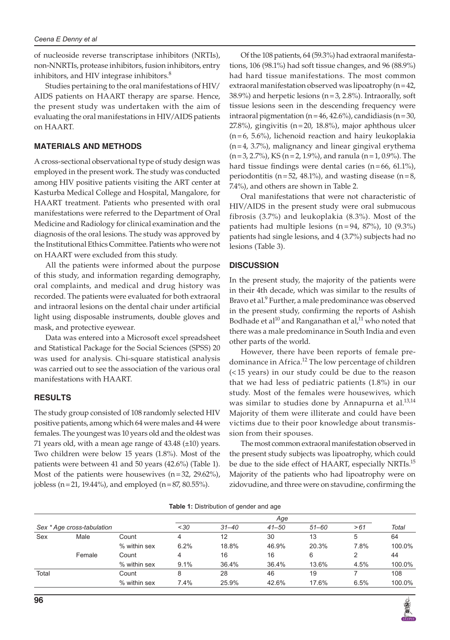of nucleoside reverse transcriptase inhibitors (NRTIs), non-NNRTIs, protease inhibitors, fusion inhibitors, entry inhibitors, and HIV integrase inhibitors. $8<sup>8</sup>$ 

Studies pertaining to the oral manifestations of HIV/ AIDS patients on HAART therapy are sparse. Hence, the present study was undertaken with the aim of evaluating the oral manifestations in HIV/AIDS patients on HAART.

#### **MATERIALS AND METHODS**

A cross-sectional observational type of study design was employed in the present work. The study was conducted among HIV positive patients visiting the ART center at Kasturba Medical College and Hospital, Mangalore, for HAART treatment. Patients who presented with oral manifestations were referred to the Department of Oral Medicine and Radiology for clinical examination and the diagnosis of the oral lesions. The study was approved by the Institutional Ethics Committee. Patients who were not on HAART were excluded from this study.

All the patients were informed about the purpose of this study, and information regarding demography, oral complaints, and medical and drug history was recorded. The patients were evaluated for both extraoral and intraoral lesions on the dental chair under artificial light using disposable instruments, double gloves and mask, and protective eyewear.

Data was entered into a Microsoft excel spreadsheet and Statistical Package for the Social Sciences (SPSS) 20 was used for analysis. Chi-square statistical analysis was carried out to see the association of the various oral manifestations with HAART.

#### **RESULTS**

The study group consisted of 108 randomly selected HIV positive patients, among which 64 were males and 44 were females. The youngest was 10 years old and the oldest was 71 years old, with a mean age range of  $43.48 \ (\pm 10)$  years. Two children were below 15 years (1.8%). Most of the patients were between 41 and 50 years (42.6%) (Table 1). Most of the patients were housewives  $(n=32, 29.62\%)$ , jobless (n=21, 19.44%), and employed (n=87, 80.55%).

Of the 108 patients, 64 (59.3%) had extraoral manifestations, 106 (98.1%) had soft tissue changes, and 96 (88.9%) had hard tissue manifestations. The most common extraoral manifestation observed was lipoatrophy (n=42, 38.9%) and herpetic lesions ( $n=3$ , 2.8%). Intraorally, soft tissue lesions seen in the descending frequency were intraoral pigmentation (n = 46, 42.6%), candidiasis (n = 30, 27.8%), gingivitis (n=20, 18.8%), major aphthous ulcer  $(n=6, 5.6\%)$ , lichenoid reaction and hairy leukoplakia (n=4, 3.7%), malignancy and linear gingival erythema  $(n=3, 2.7%)$ , KS  $(n=2, 1.9%)$ , and ranula  $(n=1, 0.9%)$ . The hard tissue findings were dental caries  $(n=66, 61.1\%)$ , periodontitis ( $n=52$ , 48.1%), and wasting disease ( $n=8$ , 7.4%), and others are shown in Table 2.

Oral manifestations that were not characteristic of HIV/AIDS in the present study were oral submucous fibrosis (3.7%) and leukoplakia (8.3%). Most of the patients had multiple lesions  $(n = 94, 87\%)$ , 10  $(9.3\%)$ patients had single lesions, and 4 (3.7%) subjects had no lesions (Table 3).

#### **DISCUSSION**

In the present study, the majority of the patients were in their 4th decade, which was similar to the results of Bravo et al.<sup>9</sup> Further, a male predominance was observed in the present study, confirming the reports of Ashish Bodhade et al<sup>10</sup> and Ranganathan et al,<sup>11</sup> who noted that there was a male predominance in South India and even other parts of the world.

However, there have been reports of female predominance in Africa.<sup>12</sup> The low percentage of children (< 15 years) in our study could be due to the reason that we had less of pediatric patients (1.8%) in our study. Most of the females were housewives, which was similar to studies done by Annapurna et al.<sup>13,14</sup> Majority of them were illiterate and could have been victims due to their poor knowledge about transmission from their spouses.

The most common extraoral manifestation observed in the present study subjects was lipoatrophy, which could be due to the side effect of HAART, especially NRTIs.<sup>15</sup> Majority of the patients who had lipoatrophy were on zidovudine, and three were on stavudine, confirming the

|                            |        |              | Age  |           |           |       |      |        |
|----------------------------|--------|--------------|------|-----------|-----------|-------|------|--------|
| Sex * Age cross-tabulation |        |              | < 30 | $31 - 40$ | $41 - 50$ | 51–60 | >61  | Total  |
| Sex                        | Male   | Count        | 4    | 12        | 30        | 13    | 5    | 64     |
|                            |        | % within sex | 6.2% | 18.8%     | 46.9%     | 20.3% | 7.8% | 100.0% |
|                            | Female | Count        | 4    | 16        | 16        | 6     |      | 44     |
|                            |        | % within sex | 9.1% | 36.4%     | 36.4%     | 13.6% | 4.5% | 100.0% |
| Total                      |        | Count        | 8    | 28        | 46        | 19    |      | 108    |
|                            |        | % within sex | 7.4% | 25.9%     | 42.6%     | 17.6% | 6.5% | 100.0% |

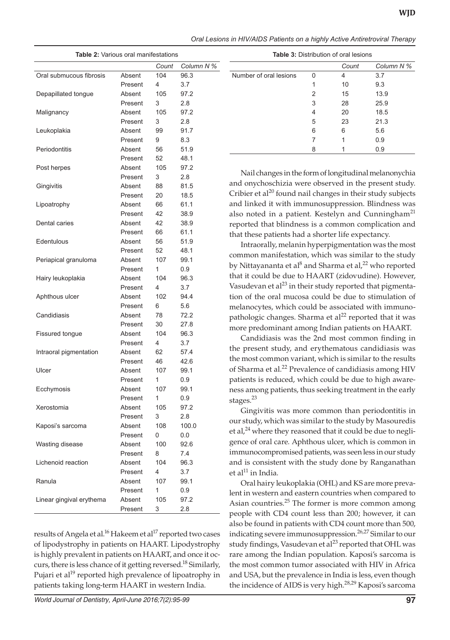|  |  |  | Oral Lesions in HIV/AIDS Patients on a highly Active Antiretroviral Therapy |  |
|--|--|--|-----------------------------------------------------------------------------|--|
|  |  |  |                                                                             |  |

| Table 2: Various oral manifestations |         |       |            |  |  |
|--------------------------------------|---------|-------|------------|--|--|
|                                      |         | Count | Column N % |  |  |
| Oral submucous fibrosis              | Absent  | 104   | 96.3       |  |  |
|                                      | Present | 4     | 3.7        |  |  |
| Depapillated tongue                  | Absent  | 105   | 97.2       |  |  |
|                                      | Present | 3     | 2.8        |  |  |
| Malignancy                           | Absent  | 105   | 97.2       |  |  |
|                                      | Present | 3     | 2.8        |  |  |
| Leukoplakia                          | Absent  | 99    | 91.7       |  |  |
|                                      | Present | 9     | 8.3        |  |  |
| Periodontitis                        | Absent  | 56    | 51.9       |  |  |
|                                      | Present | 52    | 48.1       |  |  |
| Post herpes                          | Absent  | 105   | 97.2       |  |  |
|                                      | Present | 3     | 2.8        |  |  |
| Gingivitis                           | Absent  | 88    | 81.5       |  |  |
|                                      | Present | 20    | 18.5       |  |  |
| Lipoatrophy                          | Absent  | 66    | 61.1       |  |  |
|                                      | Present | 42    | 38.9       |  |  |
| Dental caries                        | Absent  | 42    | 38.9       |  |  |
|                                      | Present | 66    | 61.1       |  |  |
| Edentulous                           | Absent  | 56    | 51.9       |  |  |
|                                      | Present | 52    | 48.1       |  |  |
| Periapical granuloma                 | Absent  | 107   | 99.1       |  |  |
|                                      | Present | 1     | 0.9        |  |  |
| Hairy leukoplakia                    | Absent  | 104   | 96.3       |  |  |
|                                      | Present | 4     | 3.7        |  |  |
| Aphthous ulcer                       | Absent  | 102   | 94.4       |  |  |
|                                      | Present | 6     | 5.6        |  |  |
| Candidiasis                          | Absent  | 78    | 72.2       |  |  |
|                                      | Present | 30    | 27.8       |  |  |
| <b>Fissured tongue</b>               | Absent  | 104   | 96.3       |  |  |
|                                      | Present | 4     | 3.7        |  |  |
| Intraoral pigmentation               | Absent  | 62    | 57.4       |  |  |
|                                      | Present | 46    | 42.6       |  |  |
| Ulcer                                | Absent  | 107   | 99.1       |  |  |
|                                      | Present | 1     | 0.9        |  |  |
| Ecchymosis                           | Absent  | 107   | 99.1       |  |  |
|                                      | Present | 1     | 0.9        |  |  |
| Xerostomia                           | Absent  | 105   | 97.2       |  |  |
|                                      | Present | 3     | 2.8        |  |  |
| Kaposi's sarcoma                     | Absent  | 108   | 100.0      |  |  |
|                                      | Present | 0     | 0.0        |  |  |
| Wasting disease                      | Absent  | 100   | 92.6       |  |  |
|                                      | Present | 8     | 7.4        |  |  |
| Lichenoid reaction                   | Absent  | 104   | 96.3       |  |  |
|                                      | Present | 4     | 3.7        |  |  |
| Ranula                               | Absent  | 107   | 99.1       |  |  |
|                                      | Present | 1     | 0.9        |  |  |
| Linear gingival erythema             | Absent  | 105   | 97.2       |  |  |
|                                      | Present | 3     | 2.8        |  |  |

results of Angela et al.<sup>16</sup> Hakeem et al<sup>17</sup> reported two cases of lipodystrophy in patients on HAART. Lipodystrophy is highly prevalent in patients on HAART, and once it occurs, there is less chance of it getting reversed.<sup>18</sup> Similarly, Pujari et al<sup>19</sup> reported high prevalence of lipoatrophy in patients taking long-term HAART in western India.

*World Journal of Dentistry, April-June 2016;7(2):95-99* **97**

| <b>Table 3: Distribution of oral lesions</b> |   |       |            |  |  |
|----------------------------------------------|---|-------|------------|--|--|
|                                              |   | Count | Column N % |  |  |
| Number of oral lesions                       | U | 4     | 3.7        |  |  |
|                                              | 1 | 10    | 9.3        |  |  |
|                                              | 2 | 15    | 13.9       |  |  |
|                                              | 3 | 28    | 25.9       |  |  |
|                                              | 4 | 20    | 18.5       |  |  |
|                                              | 5 | 23    | 21.3       |  |  |
|                                              | 6 | 6     | 5.6        |  |  |
|                                              |   |       | 0.9        |  |  |
|                                              | 8 |       | 0.9        |  |  |

Nail changes in the form of longitudinal melanonychia and onychoschizia were observed in the present study. Cribier et al<sup>20</sup> found nail changes in their study subjects and linked it with immunosuppression. Blindness was also noted in a patient. Kestelyn and Cunningham<sup>21</sup> reported that blindness is a common complication and that these patients had a shorter life expectancy.

Intraorally, melanin hyperpigmentation was the most common manifestation, which was similar to the study by Nittayananta et al $^8$  and Sharma et al, $^{22}$  who reported that it could be due to HAART (zidovudine). However, Vasudevan et al $^{23}$  in their study reported that pigmentation of the oral mucosa could be due to stimulation of melanocytes, which could be associated with immunopathologic changes. Sharma et  $al^{22}$  reported that it was more predominant among Indian patients on HAART.

Candidiasis was the 2nd most common finding in the present study, and erythematous candidiasis was the most common variant, which is similar to the results of Sharma et al.<sup>22</sup> Prevalence of candidiasis among HIV patients is reduced, which could be due to high awareness among patients, thus seeking treatment in the early stages.<sup>23</sup>

Gingivitis was more common than periodontitis in our study, which was similar to the study by Masouredis et al, $24$  where they reasoned that it could be due to negligence of oral care. Aphthous ulcer, which is common in immunocompromised patients, was seen less in our study and is consistent with the study done by Ranganathan et al $^{11}$  in India.

Oral hairy leukoplakia (OHL) and KS are more prevalent in western and eastern countries when compared to Asian countries.<sup>25</sup> The former is more common among people with CD4 count less than 200; however, it can also be found in patients with CD4 count more than 500, indicating severe immunosuppression.<sup>26,27</sup> Similar to our study findings, Vasudevan et al<sup>23</sup> reported that OHL was rare among the Indian population. Kaposi's sarcoma is the most common tumor associated with HIV in Africa and USA, but the prevalence in India is less, even though the incidence of AIDS is very high.<sup>28,29</sup> Kaposi's sarcoma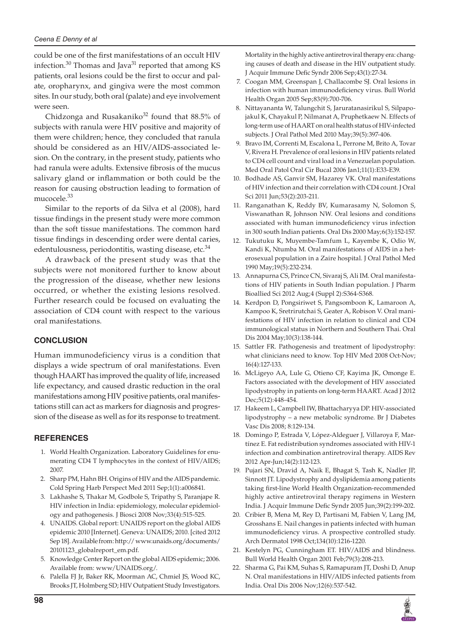could be one of the first manifestations of an occult HIV infection.<sup>30</sup> Thomas and Java<sup>31</sup> reported that among KS patients, oral lesions could be the first to occur and palate, oropharynx, and gingiva were the most common sites. In our study, both oral (palate) and eye involvement were seen.

Chidzonga and Rusakaniko<sup>32</sup> found that 88.5% of subjects with ranula were HIV positive and majority of them were children; hence, they concluded that ranula should be considered as an HIV/AIDS-associated lesion. On the contrary, in the present study, patients who had ranula were adults. Extensive fibrosis of the mucus salivary gland or inflammation or both could be the reason for causing obstruction leading to formation of mucocele.<sup>33</sup>

Similar to the reports of da Silva et al (2008), hard tissue findings in the present study were more common than the soft tissue manifestations. The common hard tissue findings in descending order were dental caries, edentulousness, periodontitis, wasting disease, etc. $34$ 

A drawback of the present study was that the subjects were not monitored further to know about the progression of the disease, whether new lesions occurred, or whether the existing lesions resolved. Further research could be focused on evaluating the association of CD4 count with respect to the various oral manifestations.

# **CONCLUSION**

Human immunodeficiency virus is a condition that displays a wide spectrum of oral manifestations. Even though HAART has improved the quality of life, increased life expectancy, and caused drastic reduction in the oral manifestations among HIV positive patients, oral manifestations still can act as markers for diagnosis and progression of the disease as well as for its response to treatment.

# **REFERENCES**

- 1. World Health Organization. Laboratory Guidelines for enumerating CD4 T lymphocytes in the context of HIV/AIDS; 2007.
- 2. Sharp PM, Hahn BH. Origins of HIV and the AIDS pandemic. Cold Spring Harb Perspect Med 2011 Sep;1(1):a006841.
- 3. Lakhashe S, Thakar M, Godbole S, Tripathy S, Paranjape R. HIV infection in India: epidemiology, molecular epidemiology and pathogenesis. J Biosci 2008 Nov;33(4):515-525.
- 4. UNAIDS. Global report: UNAIDS report on the global AIDS epidemic 2010 [Internet]. Geneva: UNAIDS; 2010. [cited 2012 Sep 18]. Available from: http:// www.unaids.org/documents/ 20101123\_globalreport\_em.pdf.
- 5. Knowledge Center Report on the global AIDS epidemic; 2006. Available from: www/UNAIDS.org/.
- 6. Palella FJ Jr, Baker RK, Moorman AC, Chmiel JS, Wood KC, Brooks JT, Holmberg SD; HIV Outpatient Study Investigators.

Mortality in the highly active antiretroviral therapy era: changing causes of death and disease in the HIV outpatient study. J Acquir Immune Defic Syndr 2006 Sep;43(1):27-34.

- 7. Coogan MM, Greenspan J, Challacombe SJ. Oral lesions in infection with human immunodeficiency virus. Bull World Health Organ 2005 Sep;83(9):700-706.
- 8. Nittayananta W, Talungchit S, Jaruratanasirikul S, Silpapojakul K, Chayakul P, Nilmanat A, Pruphetkaew N. Effects of long-term use of HAART on oral health status of HIV-infected subjects. J Oral Pathol Med 2010 May;39(5):397-406.
- 9. Bravo IM, Correnti M, Escalona L, Perrone M, Brito A, Tovar V, Rivera H. Prevalence of oral lesions in HIV patients related to CD4 cell count and viral load in a Venezuelan population. Med Oral Patol Oral Cir Bucal 2006 Jan1;11(1):E33-E39.
- 10. Bodhade AS, Ganvir SM, Hazarey VK. Oral manifestations of HIV infection and their correlation with CD4 count. J Oral Sci 2011 Jun;53(2):203-211.
- 11. Ranganathan K, Reddy BV, Kumarasamy N, Solomon S, Viswanathan R, Johnson NW. Oral lesions and conditions associated with human immunodeficiency virus infection in 300 south Indian patients. Oral Dis 2000 May;6(3):152-157.
- 12. Tukutuku K, Muyembe-Tamfum L, Kayembe K, Odio W, Kandi K, Ntumba M. Oral manifestations of AIDS in a heterosexual population in a Zaire hospital. J Oral Pathol Med 1990 May;19(5):232-234.
- 13. Annapurna CS, Prince CN, Sivaraj S, Ali IM. Oral manifestations of HIV patients in South Indian population. J Pharm Bioallied Sci 2012 Aug;4 (Suppl 2):S364-S368.
- 14. Kerdpon D, Pongsiriwet S, Pangsomboon K, Lamaroon A, Kampoo K, Sretrirutchai S, Geater A, Robison V. Oral manifestations of HIV infection in relation to clinical and CD4 immunological status in Northern and Southern Thai. Oral Dis 2004 May;10(3):138-144.
- 15. Sattler FR. Pathogenesis and treatment of lipodystrophy: what clinicians need to know. Top HIV Med 2008 Oct-Nov; 16(4):127-133.
- 16. McLigeyo AA, Lule G, Otieno CF, Kayima JK, Omonge E. Factors associated with the development of HIV associated lipodystrophy in patients on long-term HAART. Acad J 2012 Dec;5(12):448-454.
- 17. Hakeem L, Campbell IW, Bhattacharyya DP. HIV-associated lipodystrophy – a new metabolic syndrome. Br J Diabetes Vasc Dis 2008; 8:129-134.
- 18. Domingo P, Estrada V, López-Aldeguer J, Villaroya F, Martínez E. Fat redistribution syndromes associated with HIV-1 infection and combination antiretroviral therapy. AIDS Rev 2012 Apr-Jun;14(2):112-123.
- 19. Pujari SN, Dravid A, Naik E, Bhagat S, Tash K, Nadler JP, Sinnott JT. Lipodystrophy and dyslipidemia among patients taking first-line World Health Organization-recommended highly active antiretroviral therapy regimens in Western India. J Acquir Immune Defic Syndr 2005 Jun;39(2):199-202.
- 20. Cribier B, Mena M, Rey D, Partisani M, Fabien V, Lang JM, Grosshans E. Nail changes in patients infected with human immunodeficiency virus. A prospective controlled study. Arch Dermatol 1998 Oct;134(10):1216-1220.
- 21. Kestelyn PG, Cunningham ET. HIV/AIDS and blindness. Bull World Health Organ 2001 Feb;79(3):208-213.
- 22. Sharma G, Pai KM, Suhas S, Ramapuram JT, Doshi D, Anup N. Oral manifestations in HIV/AIDS infected patients from India. Oral Dis 2006 Nov;12(6):537-542.